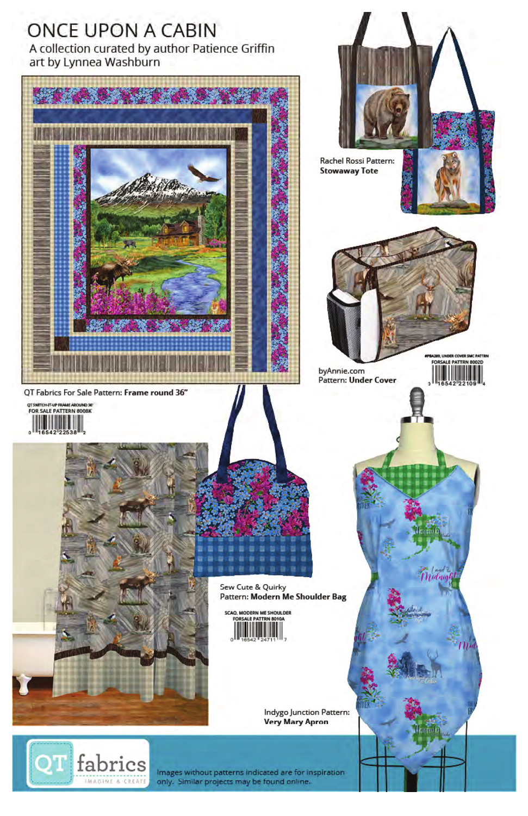

**Very Mary Apron** 



Images without patterns indicated are for inspiration only. Similar projects may be found online.